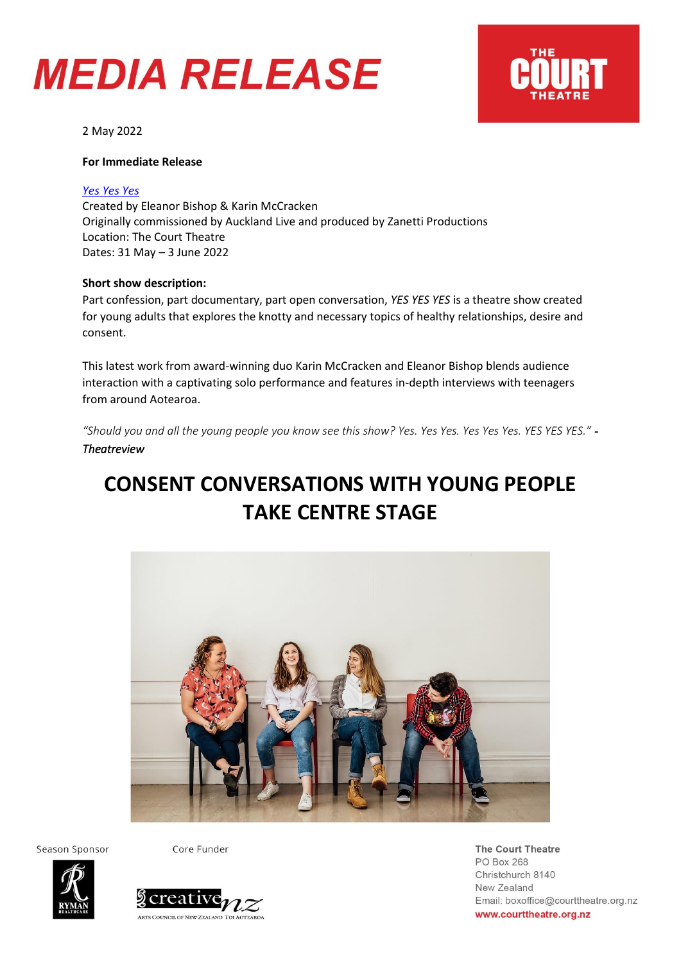### **MEDIA RELEASE**



2 May 2022

#### **For Immediate Release**

#### *[Yes](https://courttheatre.org.nz/whats-on/crash-bash-whats-the-rush/) Yes Yes*

Created by Eleanor Bishop & Karin McCracken Originally commissioned by Auckland Live and produced by Zanetti Productions Location: The Court Theatre Dates: 31 May – 3 June 2022

#### **Short show description:**

Part confession, part documentary, part open conversation, *YES YES YES* is a theatre show created for young adults that explores the knotty and necessary topics of healthy relationships, desire and consent.

This latest work from award-winning duo Karin McCracken and Eleanor Bishop blends audience interaction with a captivating solo performance and features in-depth interviews with teenagers from around Aotearoa.

*"Should you and all the young people you know see this show? Yes. Yes Yes. Yes Yes Yes. YES YES YES." - Theatreview* 

### **CONSENT CONVERSATIONS WITH YOUNG PEOPLE TAKE CENTRE STAGE**



Season Sponsor

Core Funder





The Court Theatre PO Box 268 Christchurch 8140 New Zealand Email: boxoffice@courttheatre.org.nz www.courttheatre.org.nz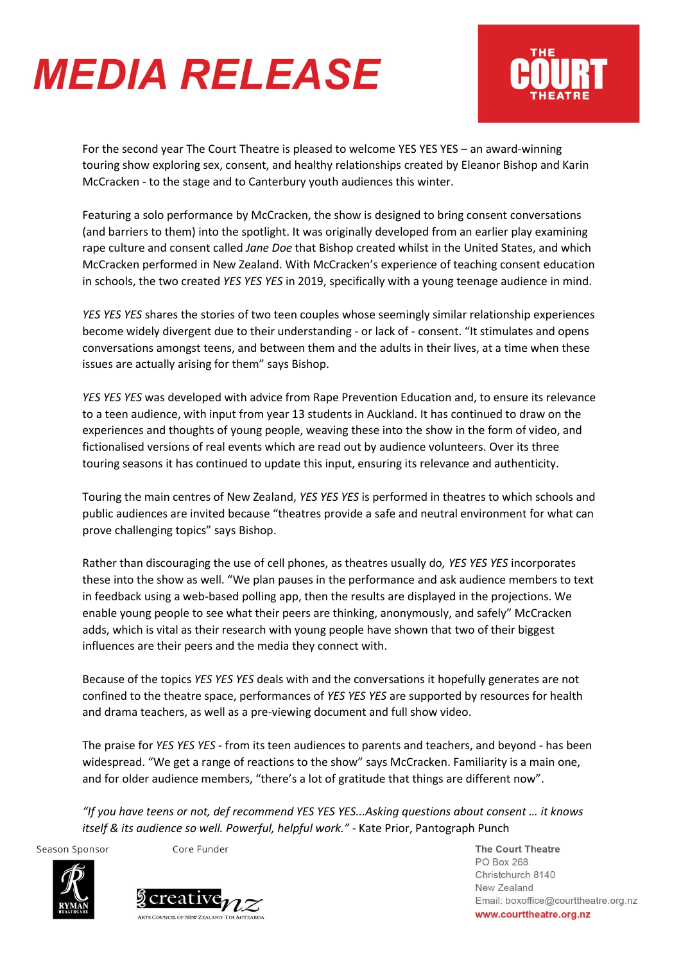# **MEDIA RELEASE**



For the second year The Court Theatre is pleased to welcome YES YES YES – an award-winning touring show exploring sex, consent, and healthy relationships created by Eleanor Bishop and Karin McCracken - to the stage and to Canterbury youth audiences this winter.

Featuring a solo performance by McCracken, the show is designed to bring consent conversations (and barriers to them) into the spotlight. It was originally developed from an earlier play examining rape culture and consent called *Jane Doe* that Bishop created whilst in the United States, and which McCracken performed in New Zealand. With McCracken's experience of teaching consent education in schools, the two created *YES YES YES* in 2019, specifically with a young teenage audience in mind.

*YES YES YES* shares the stories of two teen couples whose seemingly similar relationship experiences become widely divergent due to their understanding - or lack of - consent. "It stimulates and opens conversations amongst teens, and between them and the adults in their lives, at a time when these issues are actually arising for them" says Bishop.

*YES YES YES* was developed with advice from Rape Prevention Education and, to ensure its relevance to a teen audience, with input from year 13 students in Auckland. It has continued to draw on the experiences and thoughts of young people, weaving these into the show in the form of video, and fictionalised versions of real events which are read out by audience volunteers. Over its three touring seasons it has continued to update this input, ensuring its relevance and authenticity.

Touring the main centres of New Zealand, *YES YES YES* is performed in theatres to which schools and public audiences are invited because "theatres provide a safe and neutral environment for what can prove challenging topics" says Bishop.

Rather than discouraging the use of cell phones, as theatres usually do*, YES YES YES* incorporates these into the show as well. "We plan pauses in the performance and ask audience members to text in feedback using a web-based polling app, then the results are displayed in the projections. We enable young people to see what their peers are thinking, anonymously, and safely" McCracken adds, which is vital as their research with young people have shown that two of their biggest influences are their peers and the media they connect with.

Because of the topics *YES YES YES* deals with and the conversations it hopefully generates are not confined to the theatre space, performances of *YES YES YES* are supported by resources for health and drama teachers, as well as a pre-viewing document and full show video.

The praise for *YES YES YES* - from its teen audiences to parents and teachers, and beyond - has been widespread. "We get a range of reactions to the show" says McCracken. Familiarity is a main one, and for older audience members, "there's a lot of gratitude that things are different now".

*"If you have teens or not, def recommend YES YES YES...Asking questions about consent … it knows itself & its audience so well. Powerful, helpful work."* - Kate Prior, Pantograph Punch

Season Sponsor

Core Funder





The Court Theatre PO Box 268 Christchurch 8140 New Zealand Email: boxoffice@courttheatre.org.nz www.courttheatre.org.nz